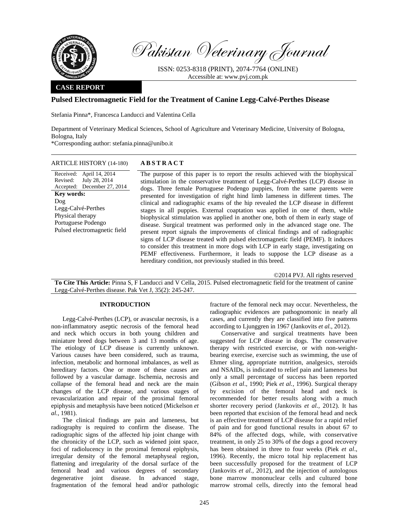

Pakistan Veterinary Journal

ISSN: 0253-8318 (PRINT), 2074-7764 (ONLINE) Accessible at: www.pvj.com.pk

## **CASE REPORT**

Received: April 14, 2014

July 28, 2014

Revised:

**Key words:**  Dog

Legg-Calvé-Perthes Physical therapy Portuguese Podengo

## **Pulsed Electromagnetic Field for the Treatment of Canine Legg-Calvé-Perthes Disease**

Stefania Pinna\*, Francesca Landucci and Valentina Cella

Department of Veterinary Medical Sciences, School of Agriculture and Veterinary Medicine, University of Bologna, Bologna, Italy

\*Corresponding author: stefania.pinna@unibo.it

| ARTICLE HISTORY (14-180) | <b>ABSTRACT</b> |
|--------------------------|-----------------|
|--------------------------|-----------------|

Accepted: December 27, 2014 The purpose of this paper is to report the results achieved with the biophysical stimulation in the conservative treatment of Legg-Calvé-Perthes (LCP) disease in dogs. Three female Portuguese Podengo puppies, from the same parents were presented for investigation of right hind limb lameness in different times. The clinical and radiographic exams of the hip revealed the LCP disease in different stages in all puppies. External coaptation was applied in one of them, while biophysical stimulation was applied in another one, both of them in early stage of disease. Surgical treatment was performed only in the advanced stage one. The present report signals the improvements of clinical findings and of radiographic signs of LCP disease treated with pulsed electromagnetic field (PEMF). It induces to consider this treatment in more dogs with LCP in early stage, investigating on PEMF effectiveness. Furthermore, it leads to suppose the LCP disease as a hereditary condition, not previously studied in this breed. Pulsed electromagnetic field

©2014 PVJ. All rights reserved

**To Cite This Article:** Pinna S, F Landucci and V Cella, 2015. Pulsed electromagnetic field for the treatment of canine Legg-Calvé-Perthes disease. Pak Vet J, 35(2): 245-247.

## **INTRODUCTION**

Legg-Calvé-Perthes (LCP), or avascular necrosis, is a non-inflammatory aseptic necrosis of the femoral head and neck which occurs in both young children and miniature breed dogs between 3 and 13 months of age. The etiology of LCP disease is currently unknown. Various causes have been considered, such as trauma, infection, metabolic and hormonal imbalances, as well as hereditary factors. One or more of these causes are followed by a vascular damage. Ischemia, necrosis and collapse of the femoral head and neck are the main changes of the LCP disease, and various stages of revascularization and repair of the proximal femoral epiphysis and metaphysis have been noticed (Mickelson *et al.*, 1981).

The clinical findings are pain and lameness, but radiography is required to confirm the disease. The radiographic signs of the affected hip joint change with the chronicity of the LCP, such as widened joint space, foci of radiolucency in the proximal femoral epiphysis, irregular density of the femoral metaphyseal region, flattening and irregularity of the dorsal surface of the femoral head and various degrees of secondary degenerative joint disease. In advanced stage, fragmentation of the femoral head and/or pathologic

fracture of the femoral neck may occur. Nevertheless, the radiographic evidences are pathognomonic in nearly all cases, and currently they are classified into five patterns according to Ljunggren in 1967 (Jankovits *et al.,* 2012).

Conservative and surgical treatments have been suggested for LCP disease in dogs. The conservative therapy with restricted exercise, or with non-weightbearing exercise, exercise such as swimming, the use of Ehmer sling, appropriate nutrition, analgesics, steroids and NSAIDs, is indicated to relief pain and lameness but only a small percentage of success has been reported (Gibson *et al*., 1990; Piek *et al.,* 1996). Surgical therapy by excision of the femoral head and neck is recommended for better results along with a much shorter recovery period (Jankovits *et al.,* 2012). It has been reported that excision of the femoral head and neck is an effective treatment of LCP disease for a rapid relief of pain and for good functional results in about 67 to 84% of the affected dogs, while, with conservative treatment, in only 25 to 30% of the dogs a good recovery has been obtained in three to four weeks (Piek *et al*., 1996). Recently, the micro total hip replacement has been successfully proposed for the treatment of LCP (Jankovits *et al.,* 2012), and the injection of autologous bone marrow mononuclear cells and cultured bone marrow stromal cells, directly into the femoral head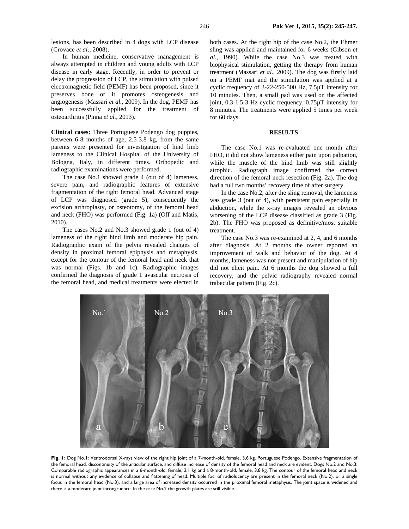lesions, has been described in 4 dogs with LCP disease (Crovace *et al*., 2008).

In human medicine, conservative management is always attempted in children and young adults with LCP disease in early stage. Recently, in order to prevent or delay the progression of LCP, the stimulation with pulsed electromagnetic field (PEMF) has been proposed, since it preserves bone or it promotes osteogenesis and angiogenesis (Massari *et al.*, 2009). In the dog, PEMF has been successfully applied for the treatment of osteoarthritis (Pinna *et al.*, 2013).

**Clinical cases:** Three Portuguese Podengo dog puppies, between 6-8 months of age, 2.5-3.8 kg, from the same parents were presented for investigation of hind limb lameness to the Clinical Hospital of the University of Bologna, Italy, in different times. Orthopedic and radiographic examinations were performed.

The case No.1 showed grade 4 (out of 4) lameness, severe pain, and radiographic features of extensive fragmentation of the right femoral head. Advanced stage of LCP was diagnosed (grade 5), consequently the excision arthroplasty, or osteotomy, of the femoral head and neck (FHO) was performed (Fig. 1a) (Off and Matis, 2010).

The cases No.2 and No.3 showed grade 1 (out of 4) lameness of the right hind limb and moderate hip pain. Radiographic exam of the pelvis revealed changes of density in proximal femoral epiphysis and metaphysis, except for the contour of the femoral head and neck that was normal (Figs. 1b and 1c). Radiographic images confirmed the diagnosis of grade 1 avascular necrosis of the femoral head, and medical treatments were elected in

both cases. At the right hip of the case No.2, the Ehmer sling was applied and maintained for 6 weeks (Gibson *et al*., 1990). While the case No.3 was treated with biophysical stimulation, getting the therapy from human treatment (Massari *et al.*, 2009). The dog was firstly laid on a PEMF mat and the stimulation was applied at a cyclic frequency of 3-22-250-500 Hz, 7.5µT intensity for 10 minutes. Then, a small pad was used on the affected joint, 0.3-1.5-3 Hz cyclic frequency, 0.75µT intensity for 8 minutes. The treatments were applied 5 times per week for 60 days.

# **RESULTS**

The case No.1 was re-evaluated one month after FHO, it did not show lameness either pain upon palpation, while the muscle of the hind limb was still slightly atrophic. Radiograph image confirmed the correct direction of the femoral neck resection (Fig. 2a). The dog had a full two months' recovery time of after surgery.

In the case No.2, after the sling removal, the lameness was grade 3 (out of 4), with persistent pain especially in abduction, while the x-ray images revealed an obvious worsening of the LCP disease classified as grade 3 (Fig. 2b). The FHO was proposed as definitive/most suitable treatment.

The case No.3 was re-examined at 2, 4, and 6 months after diagnosis. At 2 months the owner reported an improvement of walk and behavior of the dog. At 4 months, lameness was not present and manipulation of hip did not elicit pain. At 6 months the dog showed a full recovery, and the pelvic radiography revealed normal trabecular pattern (Fig. 2c).



**Fig. 1:** Dog No.1: Ventrodorsal X-rays view of the right hip joint of a 7-month-old, female, 3.6 kg, Portuguese Podengo. Extensive fragmentation of the femoral head, discontinuity of the articular surface, and diffuse increase of density of the femoral head and neck are evident. Dogs No.2 and No.3: Comparable radiographic appearances in a 6-month-old, female, 2.1 kg and a 8-month-old, female, 3.8 kg. The contour of the femoral head and neck is normal without any evidence of collapse and flattening of head. Multiple foci of radiolucency are present in the femoral neck (No.2), or a single focus in the femoral head (No.3), and a large area of increased density occurred in the proximal femoral metaphysis. The joint space is widened and there is a moderate joint incongruence. In the case No.2 the growth plates are still visible.